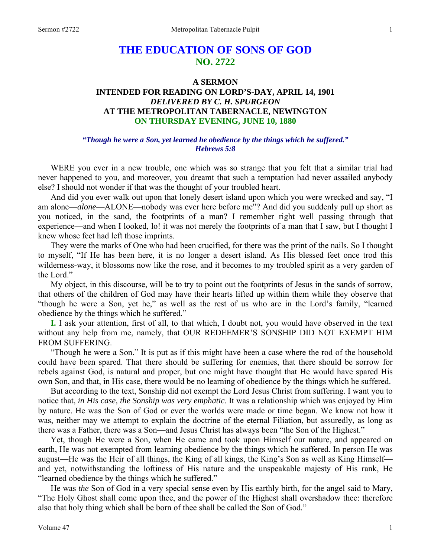# **THE EDUCATION OF SONS OF GOD NO. 2722**

# **A SERMON INTENDED FOR READING ON LORD'S-DAY, APRIL 14, 1901**  *DELIVERED BY C. H. SPURGEON*  **AT THE METROPOLITAN TABERNACLE, NEWINGTON ON THURSDAY EVENING, JUNE 10, 1880**

# *"Though he were a Son, yet learned he obedience by the things which he suffered." Hebrews 5:8*

WERE you ever in a new trouble, one which was so strange that you felt that a similar trial had never happened to you, and moreover, you dreamt that such a temptation had never assailed anybody else? I should not wonder if that was the thought of your troubled heart.

 And did you ever walk out upon that lonely desert island upon which you were wrecked and say, "I am alone—*alone*—ALONE—nobody was ever here before me"? And did you suddenly pull up short as you noticed, in the sand, the footprints of a man? I remember right well passing through that experience—and when I looked, lo! it was not merely the footprints of a man that I saw, but I thought I knew whose feet had left those imprints.

 They were the marks of One who had been crucified, for there was the print of the nails. So I thought to myself, "If He has been here, it is no longer a desert island. As His blessed feet once trod this wilderness-way, it blossoms now like the rose, and it becomes to my troubled spirit as a very garden of the Lord."

 My object, in this discourse, will be to try to point out the footprints of Jesus in the sands of sorrow, that others of the children of God may have their hearts lifted up within them while they observe that "though he were a Son, yet he," as well as the rest of us who are in the Lord's family, "learned obedience by the things which he suffered."

**I.** I ask your attention, first of all, to that which, I doubt not, you would have observed in the text without any help from me, namely, that OUR REDEEMER'S SONSHIP DID NOT EXEMPT HIM FROM SUFFERING.

 "Though he were a Son." It is put as if this might have been a case where the rod of the household could have been spared. That there should be suffering for enemies, that there should be sorrow for rebels against God, is natural and proper, but one might have thought that He would have spared His own Son, and that, in His case, there would be no learning of obedience by the things which he suffered.

 But according to the text, Sonship did not exempt the Lord Jesus Christ from suffering. I want you to notice that, *in His case, the Sonship was very emphatic*. It was a relationship which was enjoyed by Him by nature. He was the Son of God or ever the worlds were made or time began. We know not how it was, neither may we attempt to explain the doctrine of the eternal Filiation, but assuredly, as long as there was a Father, there was a Son—and Jesus Christ has always been "the Son of the Highest."

 Yet, though He were a Son, when He came and took upon Himself our nature, and appeared on earth, He was not exempted from learning obedience by the things which he suffered. In person He was august—He was the Heir of all things, the King of all kings, the King's Son as well as King Himself and yet, notwithstanding the loftiness of His nature and the unspeakable majesty of His rank, He "learned obedience by the things which he suffered."

 He was *the* Son of God in a very special sense even by His earthly birth, for the angel said to Mary, "The Holy Ghost shall come upon thee, and the power of the Highest shall overshadow thee: therefore also that holy thing which shall be born of thee shall be called the Son of God."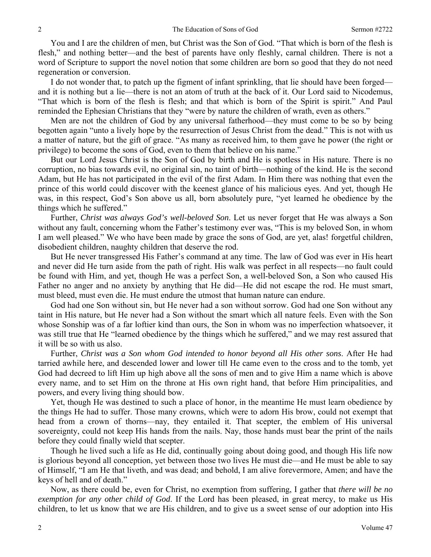You and I are the children of men, but Christ was the Son of God. "That which is born of the flesh is flesh," and nothing better—and the best of parents have only fleshly, carnal children. There is not a word of Scripture to support the novel notion that some children are born so good that they do not need regeneration or conversion.

 I do not wonder that, to patch up the figment of infant sprinkling, that lie should have been forged and it is nothing but a lie—there is not an atom of truth at the back of it. Our Lord said to Nicodemus, "That which is born of the flesh is flesh; and that which is born of the Spirit is spirit." And Paul reminded the Ephesian Christians that they "were by nature the children of wrath, even as others."

 Men are not the children of God by any universal fatherhood—they must come to be so by being begotten again "unto a lively hope by the resurrection of Jesus Christ from the dead." This is not with us a matter of nature, but the gift of grace. "As many as received him, to them gave he power (the right or privilege) to become the sons of God, even to them that believe on his name."

 But our Lord Jesus Christ is the Son of God by birth and He is spotless in His nature. There is no corruption, no bias towards evil, no original sin, no taint of birth—nothing of the kind. He is the second Adam, but He has not participated in the evil of the first Adam. In Him there was nothing that even the prince of this world could discover with the keenest glance of his malicious eyes. And yet, though He was, in this respect, God's Son above us all, born absolutely pure, "yet learned he obedience by the things which he suffered."

 Further, *Christ was always God's well-beloved Son*. Let us never forget that He was always a Son without any fault, concerning whom the Father's testimony ever was, "This is my beloved Son, in whom I am well pleased." We who have been made by grace the sons of God, are yet, alas! forgetful children, disobedient children, naughty children that deserve the rod.

 But He never transgressed His Father's command at any time. The law of God was ever in His heart and never did He turn aside from the path of right. His walk was perfect in all respects—no fault could be found with Him, and yet, though He was a perfect Son, a well-beloved Son, a Son who caused His Father no anger and no anxiety by anything that He did—He did not escape the rod. He must smart, must bleed, must even die. He must endure the utmost that human nature can endure.

 God had one Son without sin, but He never had a son without sorrow. God had one Son without any taint in His nature, but He never had a Son without the smart which all nature feels. Even with the Son whose Sonship was of a far loftier kind than ours, the Son in whom was no imperfection whatsoever, it was still true that He "learned obedience by the things which he suffered," and we may rest assured that it will be so with us also.

 Further, *Christ was a Son whom God intended to honor beyond all His other sons*. After He had tarried awhile here, and descended lower and lower till He came even to the cross and to the tomb, yet God had decreed to lift Him up high above all the sons of men and to give Him a name which is above every name, and to set Him on the throne at His own right hand, that before Him principalities, and powers, and every living thing should bow.

 Yet, though He was destined to such a place of honor, in the meantime He must learn obedience by the things He had to suffer. Those many crowns, which were to adorn His brow, could not exempt that head from a crown of thorns—nay, they entailed it. That scepter, the emblem of His universal sovereignty, could not keep His hands from the nails. Nay, those hands must bear the print of the nails before they could finally wield that scepter.

 Though he lived such a life as He did, continually going about doing good, and though His life now is glorious beyond all conception, yet between those two lives He must die—and He must be able to say of Himself, "I am He that liveth, and was dead; and behold, I am alive forevermore, Amen; and have the keys of hell and of death."

 Now, as there could be, even for Christ, no exemption from suffering, I gather that *there will be no exemption for any other child of God*. If the Lord has been pleased, in great mercy, to make us His children, to let us know that we are His children, and to give us a sweet sense of our adoption into His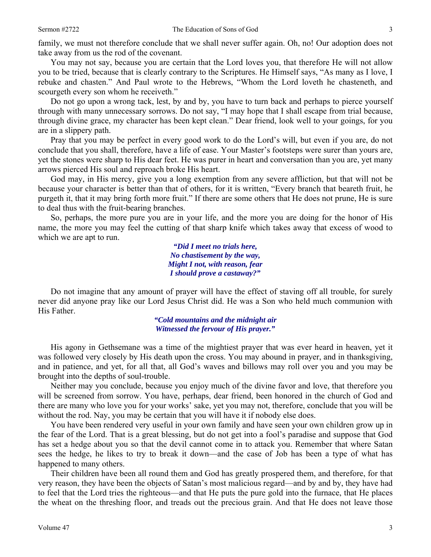family, we must not therefore conclude that we shall never suffer again. Oh, no! Our adoption does not take away from us the rod of the covenant.

 You may not say, because you are certain that the Lord loves you, that therefore He will not allow you to be tried, because that is clearly contrary to the Scriptures. He Himself says, "As many as I love, I rebuke and chasten." And Paul wrote to the Hebrews, "Whom the Lord loveth he chasteneth, and scourgeth every son whom he receiveth."

 Do not go upon a wrong tack, lest, by and by, you have to turn back and perhaps to pierce yourself through with many unnecessary sorrows. Do not say, "I may hope that I shall escape from trial because, through divine grace, my character has been kept clean." Dear friend, look well to your goings, for you are in a slippery path.

 Pray that you may be perfect in every good work to do the Lord's will, but even if you are, do not conclude that you shall, therefore, have a life of ease. Your Master's footsteps were surer than yours are, yet the stones were sharp to His dear feet. He was purer in heart and conversation than you are, yet many arrows pierced His soul and reproach broke His heart.

 God may, in His mercy, give you a long exemption from any severe affliction, but that will not be because your character is better than that of others, for it is written, "Every branch that beareth fruit, he purgeth it, that it may bring forth more fruit." If there are some others that He does not prune, He is sure to deal thus with the fruit-bearing branches.

 So, perhaps, the more pure you are in your life, and the more you are doing for the honor of His name, the more you may feel the cutting of that sharp knife which takes away that excess of wood to which we are apt to run.

> *"Did I meet no trials here, No chastisement by the way, Might I not, with reason, fear I should prove a castaway?"*

Do not imagine that any amount of prayer will have the effect of staving off all trouble, for surely never did anyone pray like our Lord Jesus Christ did. He was a Son who held much communion with His Father.

> *"Cold mountains and the midnight air Witnessed the fervour of His prayer."*

 His agony in Gethsemane was a time of the mightiest prayer that was ever heard in heaven, yet it was followed very closely by His death upon the cross. You may abound in prayer, and in thanksgiving, and in patience, and yet, for all that, all God's waves and billows may roll over you and you may be brought into the depths of soul-trouble.

 Neither may you conclude, because you enjoy much of the divine favor and love, that therefore you will be screened from sorrow. You have, perhaps, dear friend, been honored in the church of God and there are many who love you for your works' sake, yet you may not, therefore, conclude that you will be without the rod. Nay, you may be certain that you will have it if nobody else does.

 You have been rendered very useful in your own family and have seen your own children grow up in the fear of the Lord. That is a great blessing, but do not get into a fool's paradise and suppose that God has set a hedge about you so that the devil cannot come in to attack you. Remember that where Satan sees the hedge, he likes to try to break it down—and the case of Job has been a type of what has happened to many others.

 Their children have been all round them and God has greatly prospered them, and therefore, for that very reason, they have been the objects of Satan's most malicious regard—and by and by, they have had to feel that the Lord tries the righteous—and that He puts the pure gold into the furnace, that He places the wheat on the threshing floor, and treads out the precious grain. And that He does not leave those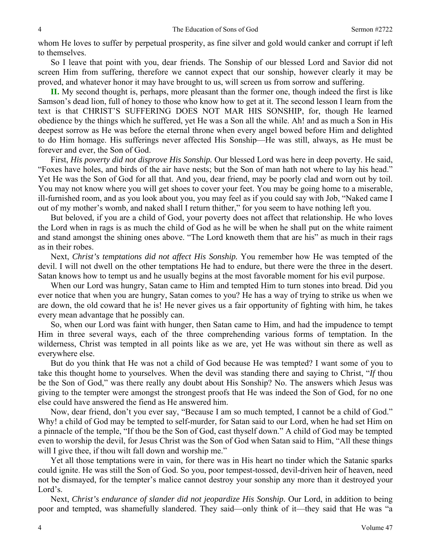whom He loves to suffer by perpetual prosperity, as fine silver and gold would canker and corrupt if left to themselves.

 So I leave that point with you, dear friends. The Sonship of our blessed Lord and Savior did not screen Him from suffering, therefore we cannot expect that our sonship, however clearly it may be proved, and whatever honor it may have brought to us, will screen us from sorrow and suffering.

**II.** My second thought is, perhaps, more pleasant than the former one, though indeed the first is like Samson's dead lion, full of honey to those who know how to get at it. The second lesson I learn from the text is that CHRIST'S SUFFERING DOES NOT MAR HIS SONSHIP, for, though He learned obedience by the things which he suffered, yet He was a Son all the while. Ah! and as much a Son in His deepest sorrow as He was before the eternal throne when every angel bowed before Him and delighted to do Him homage. His sufferings never affected His Sonship—He was still, always, as He must be forever and ever, the Son of God.

 First, *His poverty did not disprove His Sonship.* Our blessed Lord was here in deep poverty. He said, "Foxes have holes, and birds of the air have nests; but the Son of man hath not where to lay his head." Yet He was the Son of God for all that. And you, dear friend, may be poorly clad and worn out by toil. You may not know where you will get shoes to cover your feet. You may be going home to a miserable, ill-furnished room, and as you look about you, you may feel as if you could say with Job, "Naked came I out of my mother's womb, and naked shall I return thither," for you seem to have nothing left you.

 But beloved, if you are a child of God, your poverty does not affect that relationship. He who loves the Lord when in rags is as much the child of God as he will be when he shall put on the white raiment and stand amongst the shining ones above. "The Lord knoweth them that are his" as much in their rags as in their robes.

 Next, *Christ's temptations did not affect His Sonship.* You remember how He was tempted of the devil. I will not dwell on the other temptations He had to endure, but there were the three in the desert. Satan knows how to tempt us and he usually begins at the most favorable moment for his evil purpose.

 When our Lord was hungry, Satan came to Him and tempted Him to turn stones into bread. Did you ever notice that when you are hungry, Satan comes to you? He has a way of trying to strike us when we are down, the old coward that he is! He never gives us a fair opportunity of fighting with him, he takes every mean advantage that he possibly can.

 So, when our Lord was faint with hunger, then Satan came to Him, and had the impudence to tempt Him in three several ways, each of the three comprehending various forms of temptation. In the wilderness, Christ was tempted in all points like as we are, yet He was without sin there as well as everywhere else.

 But do you think that He was not a child of God because He was tempted? I want some of you to take this thought home to yourselves. When the devil was standing there and saying to Christ, "*If* thou be the Son of God," was there really any doubt about His Sonship? No. The answers which Jesus was giving to the tempter were amongst the strongest proofs that He was indeed the Son of God, for no one else could have answered the fiend as He answered him.

 Now, dear friend, don't you ever say, "Because I am so much tempted, I cannot be a child of God." Why! a child of God may be tempted to self-murder, for Satan said to our Lord, when he had set Him on a pinnacle of the temple, "If thou be the Son of God, cast thyself down." A child of God may be tempted even to worship the devil, for Jesus Christ was the Son of God when Satan said to Him, "All these things will I give thee, if thou wilt fall down and worship me."

 Yet all those temptations were in vain, for there was in His heart no tinder which the Satanic sparks could ignite. He was still the Son of God. So you, poor tempest-tossed, devil-driven heir of heaven, need not be dismayed, for the tempter's malice cannot destroy your sonship any more than it destroyed your Lord's.

Next, *Christ's endurance of slander did not jeopardize His Sonship*. Our Lord, in addition to being poor and tempted, was shamefully slandered. They said—only think of it—they said that He was "a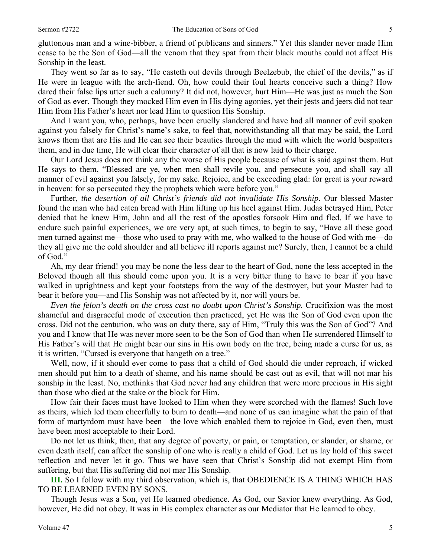gluttonous man and a wine-bibber, a friend of publicans and sinners." Yet this slander never made Him cease to be the Son of God—all the venom that they spat from their black mouths could not affect His Sonship in the least.

 They went so far as to say, "He casteth out devils through Beelzebub, the chief of the devils," as if He were in league with the arch-fiend. Oh, how could their foul hearts conceive such a thing? How dared their false lips utter such a calumny? It did not, however, hurt Him—He was just as much the Son of God as ever. Though they mocked Him even in His dying agonies, yet their jests and jeers did not tear Him from His Father's heart nor lead Him to question His Sonship.

 And I want you, who, perhaps, have been cruelly slandered and have had all manner of evil spoken against you falsely for Christ's name's sake, to feel that, notwithstanding all that may be said, the Lord knows them that are His and He can see their beauties through the mud with which the world bespatters them, and in due time, He will clear their character of all that is now laid to their charge.

 Our Lord Jesus does not think any the worse of His people because of what is said against them. But He says to them, "Blessed are ye, when men shall revile you, and persecute you, and shall say all manner of evil against you falsely, for my sake. Rejoice, and be exceeding glad: for great is your reward in heaven: for so persecuted they the prophets which were before you."

 Further, *the desertion of all Christ's friends did not invalidate His Sonship*. Our blessed Master found the man who had eaten bread with Him lifting up his heel against Him. Judas betrayed Him, Peter denied that he knew Him, John and all the rest of the apostles forsook Him and fled. If we have to endure such painful experiences, we are very apt, at such times, to begin to say, "Have all these good men turned against me—those who used to pray with me, who walked to the house of God with me—do they all give me the cold shoulder and all believe ill reports against me? Surely, then, I cannot be a child of God."

 Ah, my dear friend! you may be none the less dear to the heart of God, none the less accepted in the Beloved though all this should come upon you. It is a very bitter thing to have to bear if you have walked in uprightness and kept your footsteps from the way of the destroyer, but your Master had to bear it before you—and His Sonship was not affected by it, nor will yours be.

*Even the felon's death on the cross cast no doubt upon Christ's Sonship. Crucifixion was the most* shameful and disgraceful mode of execution then practiced, yet He was the Son of God even upon the cross. Did not the centurion, who was on duty there, say of Him, "Truly this was the Son of God"? And you and I know that He was never more seen to be the Son of God than when He surrendered Himself to His Father's will that He might bear our sins in His own body on the tree, being made a curse for us, as it is written, "Cursed is everyone that hangeth on a tree."

 Well, now, if it should ever come to pass that a child of God should die under reproach, if wicked men should put him to a death of shame, and his name should be cast out as evil, that will not mar his sonship in the least. No, methinks that God never had any children that were more precious in His sight than those who died at the stake or the block for Him.

 How fair their faces must have looked to Him when they were scorched with the flames! Such love as theirs, which led them cheerfully to burn to death—and none of us can imagine what the pain of that form of martyrdom must have been—the love which enabled them to rejoice in God, even then, must have been most acceptable to their Lord.

 Do not let us think, then, that any degree of poverty, or pain, or temptation, or slander, or shame, or even death itself, can affect the sonship of one who is really a child of God. Let us lay hold of this sweet reflection and never let it go. Thus we have seen that Christ's Sonship did not exempt Him from suffering, but that His suffering did not mar His Sonship.

**III.** So I follow with my third observation, which is, that OBEDIENCE IS A THING WHICH HAS TO BE LEARNED EVEN BY SONS.

 Though Jesus was a Son, yet He learned obedience. As God, our Savior knew everything. As God, however, He did not obey. It was in His complex character as our Mediator that He learned to obey.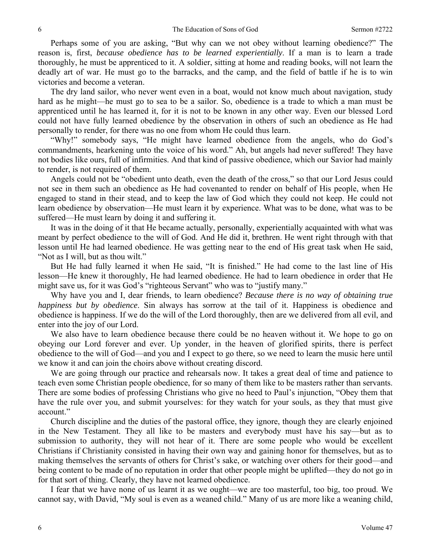Perhaps some of you are asking, "But why can we not obey without learning obedience?" The reason is, first, *because obedience has to be learned experientially*. If a man is to learn a trade thoroughly, he must be apprenticed to it. A soldier, sitting at home and reading books, will not learn the deadly art of war. He must go to the barracks, and the camp, and the field of battle if he is to win victories and become a veteran.

 The dry land sailor, who never went even in a boat, would not know much about navigation, study hard as he might—he must go to sea to be a sailor. So, obedience is a trade to which a man must be apprenticed until he has learned it, for it is not to be known in any other way. Even our blessed Lord could not have fully learned obedience by the observation in others of such an obedience as He had personally to render, for there was no one from whom He could thus learn.

 "Why!" somebody says, "He might have learned obedience from the angels, who do God's commandments, hearkening unto the voice of his word." Ah, but angels had never suffered! They have not bodies like ours, full of infirmities. And that kind of passive obedience, which our Savior had mainly to render, is not required of them.

 Angels could not be "obedient unto death, even the death of the cross," so that our Lord Jesus could not see in them such an obedience as He had covenanted to render on behalf of His people, when He engaged to stand in their stead, and to keep the law of God which they could not keep. He could not learn obedience by observation—He must learn it by experience. What was to be done, what was to be suffered—He must learn by doing it and suffering it.

 It was in the doing of it that He became actually, personally, experientially acquainted with what was meant by perfect obedience to the will of God. And He did it, brethren. He went right through with that lesson until He had learned obedience. He was getting near to the end of His great task when He said, "Not as I will, but as thou wilt."

 But He had fully learned it when He said, "It is finished." He had come to the last line of His lesson—He knew it thoroughly, He had learned obedience. He had to learn obedience in order that He might save us, for it was God's "righteous Servant" who was to "justify many."

 Why have you and I, dear friends, to learn obedience? *Because there is no way of obtaining true happiness but by obedience*. Sin always has sorrow at the tail of it. Happiness is obedience and obedience is happiness. If we do the will of the Lord thoroughly, then are we delivered from all evil, and enter into the joy of our Lord.

 We also have to learn obedience because there could be no heaven without it. We hope to go on obeying our Lord forever and ever. Up yonder, in the heaven of glorified spirits, there is perfect obedience to the will of God—and you and I expect to go there, so we need to learn the music here until we know it and can join the choirs above without creating discord.

 We are going through our practice and rehearsals now. It takes a great deal of time and patience to teach even some Christian people obedience, for so many of them like to be masters rather than servants. There are some bodies of professing Christians who give no heed to Paul's injunction, "Obey them that have the rule over you, and submit yourselves: for they watch for your souls, as they that must give account."

 Church discipline and the duties of the pastoral office, they ignore, though they are clearly enjoined in the New Testament. They all like to be masters and everybody must have his say—but as to submission to authority, they will not hear of it. There are some people who would be excellent Christians if Christianity consisted in having their own way and gaining honor for themselves, but as to making themselves the servants of others for Christ's sake, or watching over others for their good—and being content to be made of no reputation in order that other people might be uplifted—they do not go in for that sort of thing. Clearly, they have not learned obedience.

 I fear that we have none of us learnt it as we ought—we are too masterful, too big, too proud. We cannot say, with David, "My soul is even as a weaned child." Many of us are more like a weaning child,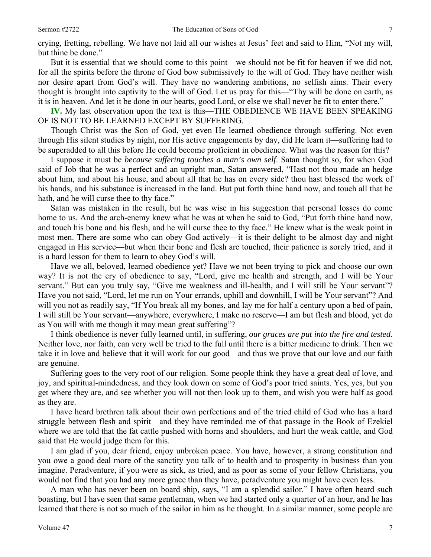crying, fretting, rebelling. We have not laid all our wishes at Jesus' feet and said to Him, "Not my will, but thine be done."

 But it is essential that we should come to this point—we should not be fit for heaven if we did not, for all the spirits before the throne of God bow submissively to the will of God. They have neither wish nor desire apart from God's will. They have no wandering ambitions, no selfish aims. Their every thought is brought into captivity to the will of God. Let us pray for this—"Thy will be done on earth, as it is in heaven. And let it be done in our hearts, good Lord, or else we shall never be fit to enter there."

**IV.** My last observation upon the text is this—THE OBEDIENCE WE HAVE BEEN SPEAKING OF IS NOT TO BE LEARNED EXCEPT BY SUFFERING.

 Though Christ was the Son of God, yet even He learned obedience through suffering. Not even through His silent studies by night, nor His active engagements by day, did He learn it—suffering had to be superadded to all this before He could become proficient in obedience. What was the reason for this?

 I suppose it must be *because suffering touches a man's own self*. Satan thought so, for when God said of Job that he was a perfect and an upright man, Satan answered, "Hast not thou made an hedge about him, and about his house, and about all that he has on every side? thou hast blessed the work of his hands, and his substance is increased in the land. But put forth thine hand now, and touch all that he hath, and he will curse thee to thy face."

 Satan was mistaken in the result, but he was wise in his suggestion that personal losses do come home to us. And the arch-enemy knew what he was at when he said to God, "Put forth thine hand now, and touch his bone and his flesh, and he will curse thee to thy face." He knew what is the weak point in most men. There are some who can obey God actively—it is their delight to be almost day and night engaged in His service—but when their bone and flesh are touched, their patience is sorely tried, and it is a hard lesson for them to learn to obey God's will.

 Have we all, beloved, learned obedience yet? Have we not been trying to pick and choose our own way? It is not the cry of obedience to say, "Lord, give me health and strength, and I will be Your servant." But can you truly say, "Give me weakness and ill-health, and I will still be Your servant"? Have you not said, "Lord, let me run on Your errands, uphill and downhill, I will be Your servant"? And will you not as readily say, "If You break all my bones, and lay me for half a century upon a bed of pain, I will still be Your servant—anywhere, everywhere, I make no reserve—I am but flesh and blood, yet do as You will with me though it may mean great suffering"?

 I think obedience is never fully learned until, in suffering, *our graces are put into the fire and tested.*  Neither love, nor faith, can very well be tried to the full until there is a bitter medicine to drink. Then we take it in love and believe that it will work for our good—and thus we prove that our love and our faith are genuine.

 Suffering goes to the very root of our religion. Some people think they have a great deal of love, and joy, and spiritual-mindedness, and they look down on some of God's poor tried saints. Yes, yes, but you get where they are, and see whether you will not then look up to them, and wish you were half as good as they are.

 I have heard brethren talk about their own perfections and of the tried child of God who has a hard struggle between flesh and spirit—and they have reminded me of that passage in the Book of Ezekiel where we are told that the fat cattle pushed with horns and shoulders, and hurt the weak cattle, and God said that He would judge them for this.

 I am glad if you, dear friend, enjoy unbroken peace. You have, however, a strong constitution and you owe a good deal more of the sanctity you talk of to health and to prosperity in business than you imagine. Peradventure, if you were as sick, as tried, and as poor as some of your fellow Christians, you would not find that you had any more grace than they have, peradventure you might have even less.

 A man who has never been on board ship, says, "I am a splendid sailor." I have often heard such boasting, but I have seen that same gentleman, when we had started only a quarter of an hour, and he has learned that there is not so much of the sailor in him as he thought. In a similar manner, some people are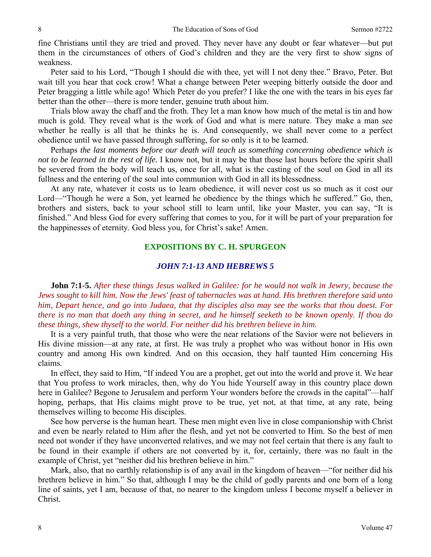fine Christians until they are tried and proved. They never have any doubt or fear whatever—but put them in the circumstances of others of God's children and they are the very first to show signs of weakness.

 Peter said to his Lord, "Though I should die with thee, yet will I not deny thee." Bravo, Peter. But wait till you hear that cock crow! What a change between Peter weeping bitterly outside the door and Peter bragging a little while ago! Which Peter do you prefer? I like the one with the tears in his eyes far better than the other—there is more tender, genuine truth about him.

 Trials blow away the chaff and the froth. They let a man know how much of the metal is tin and how much is gold. They reveal what is the work of God and what is mere nature. They make a man see whether he really is all that he thinks he is. And consequently, we shall never come to a perfect obedience until we have passed through suffering, for so only is it to be learned.

 Perhaps *the last moments before our death will teach us something concerning obedience which is not to be learned in the rest of life.* I know not, but it may be that those last hours before the spirit shall be severed from the body will teach us, once for all, what is the casting of the soul on God in all its fullness and the entering of the soul into communion with God in all its blessedness.

 At any rate, whatever it costs us to learn obedience, it will never cost us so much as it cost our Lord—"Though he were a Son, yet learned he obedience by the things which he suffered." Go, then, brothers and sisters, back to your school still to learn until, like your Master, you can say, "It is finished." And bless God for every suffering that comes to you, for it will be part of your preparation for the happinesses of eternity. God bless you, for Christ's sake! Amen.

### **EXPOSITIONS BY C. H. SPURGEON**

## *JOHN 7:1-13 AND HEBREWS 5*

**John 7:1-5.** *After these things Jesus walked in Galilee: for he would not walk in Jewry, because the Jews sought to kill him. Now the Jews' feast of tabernacles was at hand. His brethren therefore said unto him, Depart hence, and go into Judaea, that thy disciples also may see the works that thou doest. For there is no man that doeth any thing in secret, and he himself seeketh to be known openly. If thou do these things, shew thyself to the world. For neither did his brethren believe in him.* 

It is a very painful truth, that those who were the near relations of the Savior were not believers in His divine mission—at any rate, at first. He was truly a prophet who was without honor in His own country and among His own kindred. And on this occasion, they half taunted Him concerning His claims.

 In effect, they said to Him, "If indeed You are a prophet, get out into the world and prove it. We hear that You profess to work miracles, then, why do You hide Yourself away in this country place down here in Galilee? Begone to Jerusalem and perform Your wonders before the crowds in the capital"—half hoping, perhaps, that His claims might prove to be true, yet not, at that time, at any rate, being themselves willing to become His disciples.

 See how perverse is the human heart. These men might even live in close companionship with Christ and even be nearly related to Him after the flesh, and yet not be converted to Him. So the best of men need not wonder if they have unconverted relatives, and we may not feel certain that there is any fault to be found in their example if others are not converted by it, for, certainly, there was no fault in the example of Christ, yet "neither did his brethren believe in him."

 Mark, also, that no earthly relationship is of any avail in the kingdom of heaven—"for neither did his brethren believe in him." So that, although I may be the child of godly parents and one born of a long line of saints, yet I am, because of that, no nearer to the kingdom unless I become myself a believer in Christ.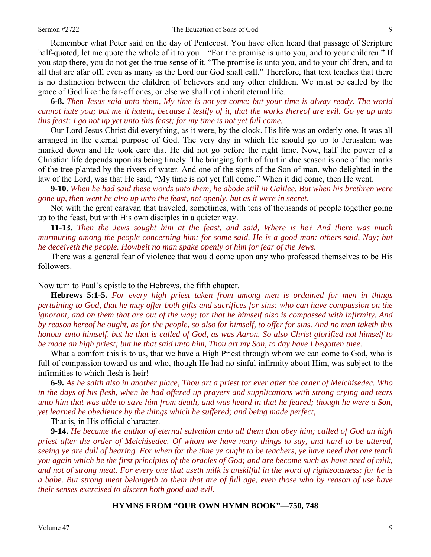Remember what Peter said on the day of Pentecost. You have often heard that passage of Scripture half-quoted, let me quote the whole of it to you—"For the promise is unto you, and to your children." If you stop there, you do not get the true sense of it. "The promise is unto you, and to your children, and to all that are afar off, even as many as the Lord our God shall call." Therefore, that text teaches that there is no distinction between the children of believers and any other children. We must be called by the grace of God like the far-off ones, or else we shall not inherit eternal life.

**6-8.** *Then Jesus said unto them, My time is not yet come: but your time is alway ready. The world cannot hate you; but me it hateth, because I testify of it, that the works thereof are evil. Go ye up unto this feast: I go not up yet unto this feast; for my time is not yet full come.* 

Our Lord Jesus Christ did everything, as it were, by the clock. His life was an orderly one. It was all arranged in the eternal purpose of God. The very day in which He should go up to Jerusalem was marked down and He took care that He did not go before the right time. Now, half the power of a Christian life depends upon its being timely. The bringing forth of fruit in due season is one of the marks of the tree planted by the rivers of water. And one of the signs of the Son of man, who delighted in the law of the Lord, was that He said, "My time is not yet full come." When it did come, then He went.

**9-10.** *When he had said these words unto them, he abode still in Galilee. But when his brethren were gone up, then went he also up unto the feast, not openly, but as it were in secret.* 

Not with the great caravan that traveled, sometimes, with tens of thousands of people together going up to the feast, but with His own disciples in a quieter way.

**11-13**. *Then the Jews sought him at the feast, and said, Where is he? And there was much murmuring among the people concerning him: for some said, He is a good man: others said, Nay; but he deceiveth the people. Howbeit no man spake openly of him for fear of the Jews.* 

There was a general fear of violence that would come upon any who professed themselves to be His followers.

Now turn to Paul's epistle to the Hebrews, the fifth chapter.

**Hebrews 5:1-5.** *For every high priest taken from among men is ordained for men in things pertaining to God, that he may offer both gifts and sacrifices for sins: who can have compassion on the ignorant, and on them that are out of the way; for that he himself also is compassed with infirmity. And by reason hereof he ought, as for the people, so also for himself, to offer for sins. And no man taketh this honour unto himself, but he that is called of God, as was Aaron. So also Christ glorified not himself to be made an high priest; but he that said unto him, Thou art my Son, to day have I begotten thee.* 

What a comfort this is to us, that we have a High Priest through whom we can come to God, who is full of compassion toward us and who, though He had no sinful infirmity about Him, was subject to the infirmities to which flesh is heir!

**6-9.** *As he saith also in another place, Thou art a priest for ever after the order of Melchisedec. Who in the days of his flesh, when he had offered up prayers and supplications with strong crying and tears unto him that was able to save him from death, and was heard in that he feared; though he were a Son, yet learned he obedience by the things which he suffered; and being made perfect,* 

That is, in His official character.

**9-14.** *He became the author of eternal salvation unto all them that obey him; called of God an high priest after the order of Melchisedec. Of whom we have many things to say, and hard to be uttered, seeing ye are dull of hearing. For when for the time ye ought to be teachers, ye have need that one teach you again which be the first principles of the oracles of God; and are become such as have need of milk, and not of strong meat. For every one that useth milk is unskilful in the word of righteousness: for he is a babe. But strong meat belongeth to them that are of full age, even those who by reason of use have their senses exercised to discern both good and evil.* 

#### **HYMNS FROM "OUR OWN HYMN BOOK"—750, 748**